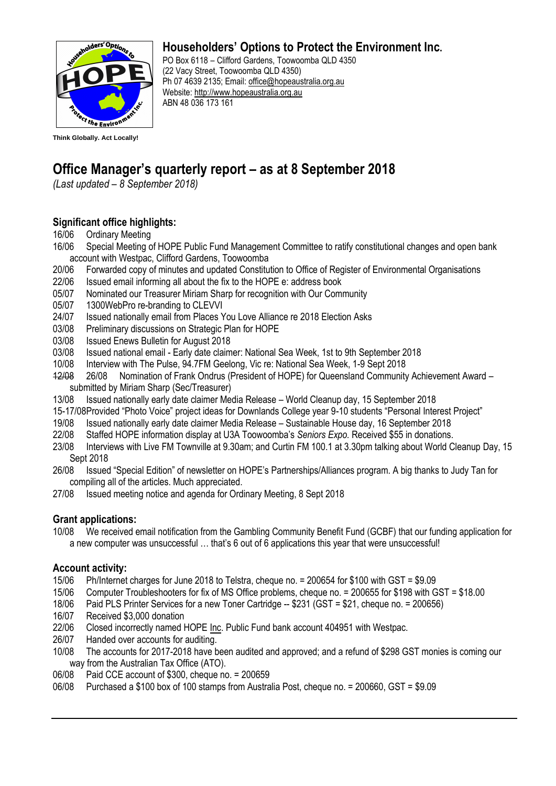

## **Householders' Options to Protect the Environment Inc.**

PO Box 6118 – Clifford Gardens, Toowoomba QLD 4350 (22 Vacy Street, Toowoomba QLD 4350) Ph 07 4639 2135; Email: [office@hopeaustralia.org.au](mailto:office@hopeaustralia.org.au)  Website: [http://www.hopeaustralia.org.au](http://www.hopeaustralia.org.au/) ABN 48 036 173 161

# **Office Manager's quarterly report – as at 8 September 2018**

*(Last updated – 8 September 2018)*

## **Significant office highlights:**

- 16/06 Ordinary Meeting
- 16/06 Special Meeting of HOPE Public Fund Management Committee to ratify constitutional changes and open bank account with Westpac, Clifford Gardens, Toowoomba
- 20/06 Forwarded copy of minutes and updated Constitution to Office of Register of Environmental Organisations
- 22/06 Issued email informing all about the fix to the HOPE e: address book
- 05/07 Nominated our Treasurer Miriam Sharp for recognition with Our Community
- 05/07 1300WebPro re-branding to CLEVVI
- 24/07 Issued nationally email from Places You Love Alliance re 2018 Election Asks
- 03/08 Preliminary discussions on Strategic Plan for HOPE
- 03/08 Issued Enews Bulletin for August 2018
- 03/08 Issued national email Early date claimer: National Sea Week, 1st to 9th September 2018
- 10/08 Interview with The Pulse, 94.7FM Geelong, Vic re: National Sea Week, 1-9 Sept 2018
- 12/08 26/08 Nomination of Frank Ondrus (President of HOPE) for Queensland Community Achievement Award submitted by Miriam Sharp (Sec/Treasurer)
- 13/08 Issued nationally early date claimer Media Release World Cleanup day, 15 September 2018
- 15-17/08Provided "Photo Voice" project ideas for Downlands College year 9-10 students "Personal Interest Project"
- 19/08 Issued nationally early date claimer Media Release Sustainable House day, 16 September 2018
- 22/08 Staffed HOPE information display at U3A Toowoomba's *Seniors Expo.* Received \$55 in donations.
- 23/08 Interviews with Live FM Townville at 9.30am; and Curtin FM 100.1 at 3.30pm talking about World Cleanup Day, 15 Sept 2018
- 26/08 Issued "Special Edition" of newsletter on HOPE's Partnerships/Alliances program. A big thanks to Judy Tan for compiling all of the articles. Much appreciated.
- 27/08 Issued meeting notice and agenda for Ordinary Meeting, 8 Sept 2018

## **Grant applications:**

10/08 We received email notification from the Gambling Community Benefit Fund (GCBF) that our funding application for a new computer was unsuccessful … that's 6 out of 6 applications this year that were unsuccessful!

## **Account activity:**

- 15/06 Ph/Internet charges for June 2018 to Telstra, cheque no. = 200654 for \$100 with GST = \$9.09
- 15/06 Computer Troubleshooters for fix of MS Office problems, cheque no. = 200655 for \$198 with GST = \$18.00
- Paid PLS Printer Services for a new Toner Cartridge -- \$231 (GST = \$21, cheque no. = 200656)
- 
- 16/07 Received \$3,000 donation<br>22/06 Closed incorrectly named I Closed incorrectly named HOPE Inc. Public Fund bank account 404951 with Westpac.
- 26/07 Handed over accounts for auditing.
- 10/08 The accounts for 2017-2018 have been audited and approved; and a refund of \$298 GST monies is coming our way from the Australian Tax Office (ATO).
- 06/08 Paid CCE account of \$300, cheque no. = 200659
- 06/08 Purchased a \$100 box of 100 stamps from Australia Post, cheque no. = 200660, GST = \$9.09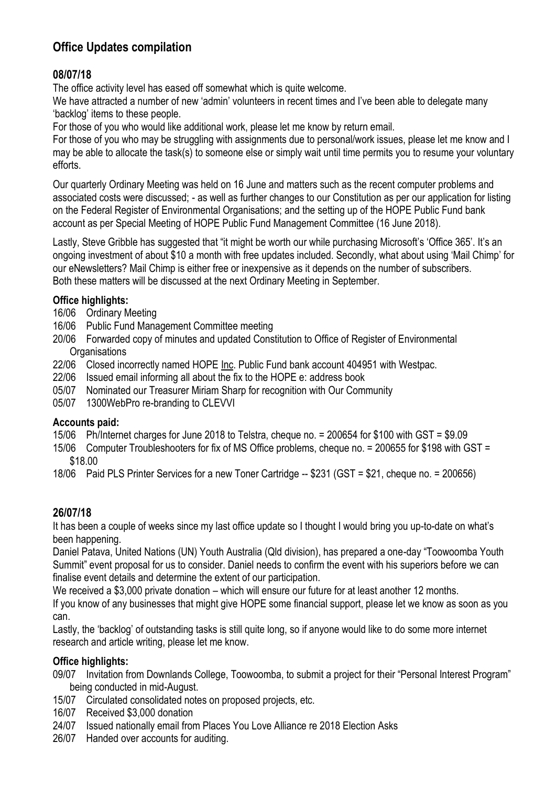# **Office Updates compilation**

## **08/07/18**

The office activity level has eased off somewhat which is quite welcome.

We have attracted a number of new 'admin' volunteers in recent times and I've been able to delegate many 'backlog' items to these people.

For those of you who would like additional work, please let me know by return email.

For those of you who may be struggling with assignments due to personal/work issues, please let me know and I may be able to allocate the task(s) to someone else or simply wait until time permits you to resume your voluntary efforts.

Our quarterly Ordinary Meeting was held on 16 June and matters such as the recent computer problems and associated costs were discussed; - as well as further changes to our Constitution as per our application for listing on the Federal Register of Environmental Organisations; and the setting up of the HOPE Public Fund bank account as per Special Meeting of HOPE Public Fund Management Committee (16 June 2018).

Lastly, Steve Gribble has suggested that "it might be worth our while purchasing Microsoft's 'Office 365'. It's an ongoing investment of about \$10 a month with free updates included. Secondly, what about using 'Mail Chimp' for our eNewsletters? Mail Chimp is either free or inexpensive as it depends on the number of subscribers. Both these matters will be discussed at the next Ordinary Meeting in September.

## **Office highlights:**

16/06 Ordinary Meeting

- 16/06 Public Fund Management Committee meeting
- 20/06 Forwarded copy of minutes and updated Constitution to Office of Register of Environmental **Organisations**
- 22/06 Closed incorrectly named HOPE Inc. Public Fund bank account 404951 with Westpac.
- 22/06 Issued email informing all about the fix to the HOPE e: address book
- 05/07 Nominated our Treasurer Miriam Sharp for recognition with Our Community
- 05/07 1300WebPro re-branding to CLEVVI

## **Accounts paid:**

- 15/06 Ph/Internet charges for June 2018 to Telstra, cheque no. = 200654 for \$100 with GST = \$9.09
- 15/06 Computer Troubleshooters for fix of MS Office problems, cheque no. = 200655 for \$198 with GST = \$18.00
- 18/06 Paid PLS Printer Services for a new Toner Cartridge -- \$231 (GST = \$21, cheque no. = 200656)

## **26/07/18**

It has been a couple of weeks since my last office update so I thought I would bring you up-to-date on what's been happening.

Daniel Patava, United Nations (UN) Youth Australia (Qld division), has prepared a one-day "Toowoomba Youth Summit" event proposal for us to consider. Daniel needs to confirm the event with his superiors before we can finalise event details and determine the extent of our participation.

We received a \$3,000 private donation – which will ensure our future for at least another 12 months.

If you know of any businesses that might give HOPE some financial support, please let we know as soon as you can.

Lastly, the 'backlog' of outstanding tasks is still quite long, so if anyone would like to do some more internet research and article writing, please let me know.

## **Office highlights:**

- 09/07 Invitation from Downlands College, Toowoomba, to submit a project for their "Personal Interest Program" being conducted in mid-August.
- 15/07 Circulated consolidated notes on proposed projects, etc.
- 16/07 Received \$3,000 donation
- 24/07 Issued nationally email from Places You Love Alliance re 2018 Election Asks
- 26/07 Handed over accounts for auditing.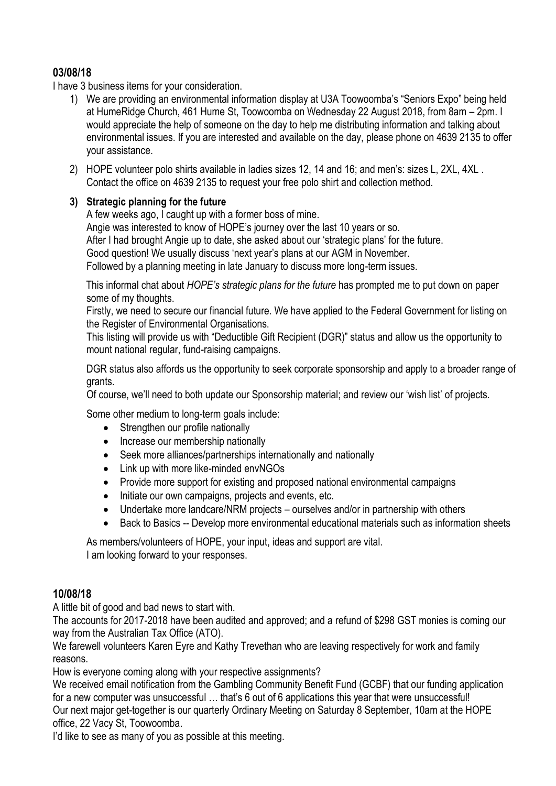## **03/08/18**

I have 3 business items for your consideration.

- 1) We are providing an environmental information display at U3A Toowoomba's "Seniors Expo" being held at HumeRidge Church, 461 Hume St, Toowoomba on Wednesday 22 August 2018, from 8am – 2pm. I would appreciate the help of someone on the day to help me distributing information and talking about environmental issues. If you are interested and available on the day, please phone on 4639 2135 to offer your assistance.
- 2) HOPE volunteer polo shirts available in ladies sizes 12, 14 and 16; and men's: sizes L, 2XL, 4XL . Contact the office on 4639 2135 to request your free polo shirt and collection method.

#### **3) Strategic planning for the future**

A few weeks ago, I caught up with a former boss of mine. Angie was interested to know of HOPE's journey over the last 10 years or so. After I had brought Angie up to date, she asked about our 'strategic plans' for the future. Good question! We usually discuss 'next year's plans at our AGM in November. Followed by a planning meeting in late January to discuss more long-term issues.

This informal chat about *HOPE's strategic plans for the future* has prompted me to put down on paper some of my thoughts.

Firstly, we need to secure our financial future. We have applied to the Federal Government for listing on the Register of Environmental Organisations.

This listing will provide us with "Deductible Gift Recipient (DGR)" status and allow us the opportunity to mount national regular, fund-raising campaigns.

DGR status also affords us the opportunity to seek corporate sponsorship and apply to a broader range of grants.

Of course, we'll need to both update our Sponsorship material; and review our 'wish list' of projects.

Some other medium to long-term goals include:

- Strengthen our profile nationally
- Increase our membership nationally
- Seek more alliances/partnerships internationally and nationally
- Link up with more like-minded envNGOs
- Provide more support for existing and proposed national environmental campaigns
- Initiate our own campaigns, projects and events, etc.
- Undertake more landcare/NRM projects ourselves and/or in partnership with others
- Back to Basics -- Develop more environmental educational materials such as information sheets

As members/volunteers of HOPE, your input, ideas and support are vital. I am looking forward to your responses.

## **10/08/18**

A little bit of good and bad news to start with.

The accounts for 2017-2018 have been audited and approved; and a refund of \$298 GST monies is coming our way from the Australian Tax Office (ATO).

We farewell volunteers Karen Eyre and Kathy Trevethan who are leaving respectively for work and family reasons.

How is everyone coming along with your respective assignments?

We received email notification from the Gambling Community Benefit Fund (GCBF) that our funding application for a new computer was unsuccessful … that's 6 out of 6 applications this year that were unsuccessful! Our next major get-together is our quarterly Ordinary Meeting on Saturday 8 September, 10am at the HOPE

office, 22 Vacy St, Toowoomba.

I'd like to see as many of you as possible at this meeting.